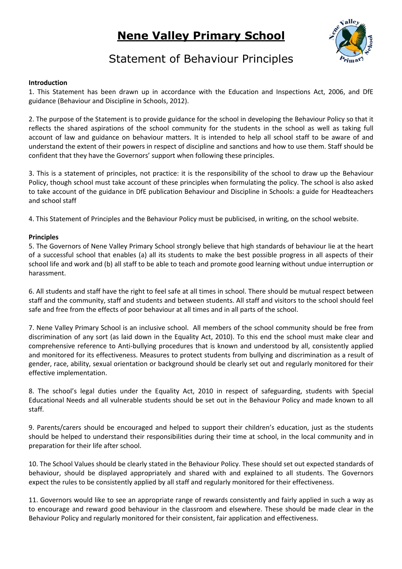## **Nene Valley Primary School**



## Statement of Behaviour Principles

## **Introduction**

1. This Statement has been drawn up in accordance with the Education and Inspections Act, 2006, and DfE guidance (Behaviour and Discipline in Schools, 2012).

2. The purpose of the Statement is to provide guidance for the school in developing the Behaviour Policy so that it reflects the shared aspirations of the school community for the students in the school as well as taking full account of law and guidance on behaviour matters. It is intended to help all school staff to be aware of and understand the extent of their powers in respect of discipline and sanctions and how to use them. Staff should be confident that they have the Governors' support when following these principles.

3. This is a statement of principles, not practice: it is the responsibility of the school to draw up the Behaviour Policy, though school must take account of these principles when formulating the policy. The school is also asked to take account of the guidance in DfE publication Behaviour and Discipline in Schools: a guide for Headteachers and school staff

4. This Statement of Principles and the Behaviour Policy must be publicised, in writing, on the school website.

## **Principles**

5. The Governors of Nene Valley Primary School strongly believe that high standards of behaviour lie at the heart of a successful school that enables (a) all its students to make the best possible progress in all aspects of their school life and work and (b) all staff to be able to teach and promote good learning without undue interruption or harassment.

6. All students and staff have the right to feel safe at all times in school. There should be mutual respect between staff and the community, staff and students and between students. All staff and visitors to the school should feel safe and free from the effects of poor behaviour at all times and in all parts of the school.

7. Nene Valley Primary School is an inclusive school. All members of the school community should be free from discrimination of any sort (as laid down in the Equality Act, 2010). To this end the school must make clear and comprehensive reference to Anti-bullying procedures that is known and understood by all, consistently applied and monitored for its effectiveness. Measures to protect students from bullying and discrimination as a result of gender, race, ability, sexual orientation or background should be clearly set out and regularly monitored for their effective implementation.

8. The school's legal duties under the Equality Act, 2010 in respect of safeguarding, students with Special Educational Needs and all vulnerable students should be set out in the Behaviour Policy and made known to all staff.

9. Parents/carers should be encouraged and helped to support their children's education, just as the students should be helped to understand their responsibilities during their time at school, in the local community and in preparation for their life after school.

10. The School Values should be clearly stated in the Behaviour Policy. These should set out expected standards of behaviour, should be displayed appropriately and shared with and explained to all students. The Governors expect the rules to be consistently applied by all staff and regularly monitored for their effectiveness.

11. Governors would like to see an appropriate range of rewards consistently and fairly applied in such a way as to encourage and reward good behaviour in the classroom and elsewhere. These should be made clear in the Behaviour Policy and regularly monitored for their consistent, fair application and effectiveness.